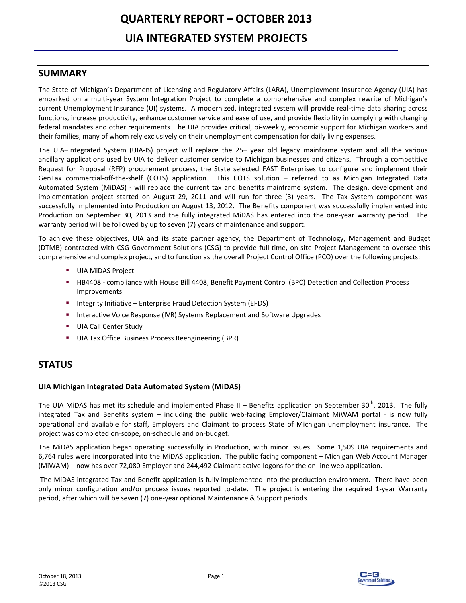# **QUARTERLY REPORT - OCTOBER 2013 UIA INTEGRATED SYSTEM PROJECTS**

## **SUMMARY**

The State of Michigan's Department of Licensing and Regulatory Affairs (LARA), Unemployment Insurance Agency (UIA) has embarked on a multi-year System Integration Project to complete a comprehensive and complex rewrite of Michigan's current Unemployment Insurance (UI) systems. A modernized, integrated system will provide real-time data sharing across functions, increase productivity, enhance customer service and ease of use, and provide flexibility in complying with changing federal mandates and other requirements. The UIA provides critical, bi-weekly, economic support for Michigan workers and their families, many of whom rely exclusively on their unemployment compensation for daily living expenses.

The UIA-Integrated System (UIA-IS) project will replace the 25+ year old legacy mainframe system and all the various ancillary applications used by UIA to deliver customer service to Michigan businesses and citizens. Through a competitive Request for Proposal (RFP) procurement process, the State selected FAST Enterprises to configure and implement their GenTax commercial-off-the-shelf (COTS) application. This COTS solution - referred to as Michigan Integrated Data Automated System (MiDAS) - will replace the current tax and benefits mainframe system. The design, development and implementation project started on August 29, 2011 and will run for three (3) years. The Tax System component was successfully implemented into Production on August 13, 2012. The Benefits component was successfully implemented into Production on September 30, 2013 and the fully integrated MiDAS has entered into the one-year warranty period. The warranty period will be followed by up to seven (7) years of maintenance and support.

To achieve these objectives, UIA and its state partner agency, the Department of Technology, Management and Budget (DTMB) contracted with CSG Government Solutions (CSG) to provide full-time, on-site Project Management to oversee this comprehensive and complex project, and to function as the overall Project Control Office (PCO) over the following projects:

- UIA MIDAS Project
- **EXECUTE:** HB4408 compliance with House Bill 4408, Benefit Payment Control (BPC) Detection and Collection Process Improvements
- Integrity Initiative Enterprise Fraud Detection System (EFDS)
- Interactive Voice Response (IVR) Systems Replacement and Software Upgrades
- **UIA Call Center Study COLLEGE**
- UIA Tax Office Business Process Reengineering (BPR)

# **STATUS**

## UIA Michigan Integrated Data Automated System (MiDAS)

The UIA MiDAS has met its schedule and implemented Phase II - Benefits application on September 30<sup>th</sup>, 2013. The fully integrated Tax and Benefits system - including the public web-facing Employer/Claimant MiWAM portal - is now fully operational and available for staff, Employers and Claimant to process State of Michigan unemployment insurance. The project was completed on-scope, on-schedule and on-budget.

The MiDAS application began operating successfully in Production, with minor issues. Some 1,509 UIA requirements and 6,764 rules were incorporated into the MiDAS application. The public facing component - Michigan Web Account Manager (MiWAM) – now has over 72,080 Employer and 244,492 Claimant active logons for the on-line web application.

The MiDAS integrated Tax and Benefit application is fully implemented into the production environment. There have been only minor configuration and/or process issues reported to-date. The project is entering the required 1-year Warranty period, after which will be seven (7) one-year optional Maintenance & Support periods.



Page 1